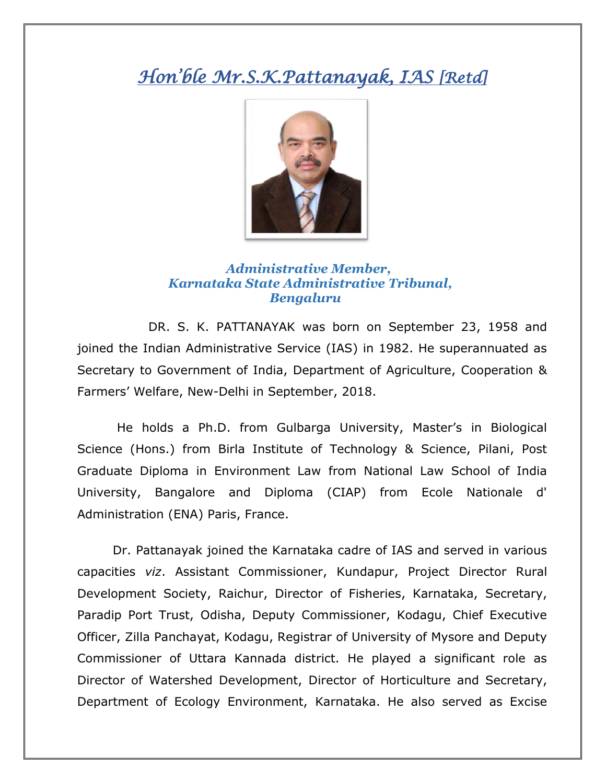## *Hon'ble Mr.S.K.Pattanayak, IAS [Retd]*



## *Administrative Member, Karnataka State Administrative Tribunal, Bengaluru*

DR. S. K. PATTANAYAK was born on September 23, 1958 and joined the Indian Administrative Service (IAS) in 1982. He superannuated as Secretary to Government of India, Department of Agriculture, Cooperation & Farmers' Welfare, New-Delhi in September, 2018.

He holds a Ph.D. from Gulbarga University, Master's in Biological Science (Hons.) from Birla Institute of Technology & Science, Pilani, Post Graduate Diploma in Environment Law from National Law School of India University, Bangalore and Diploma (CIAP) from Ecole Nationale d' Administration (ENA) Paris, France.

Dr. Pattanayak joined the Karnataka cadre of IAS and served in various capacities *viz*. Assistant Commissioner, Kundapur, Project Director Rural Development Society, Raichur, Director of Fisheries, Karnataka, Secretary, Paradip Port Trust, Odisha, Deputy Commissioner, Kodagu, Chief Executive Officer, Zilla Panchayat, Kodagu, Registrar of University of Mysore and Deputy Commissioner of Uttara Kannada district. He played a significant role as Director of Watershed Development, Director of Horticulture and Secretary, Department of Ecology Environment, Karnataka. He also served as Excise